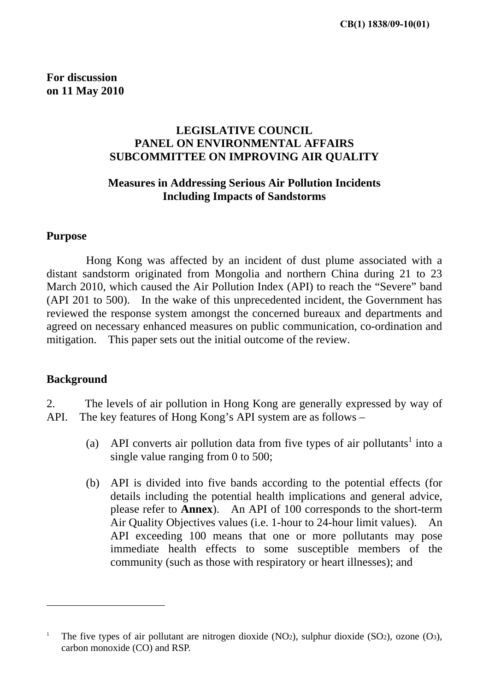**For discussion on 11 May 2010**

## **LEGISLATIVE COUNCIL PANEL ON ENVIRONMENTAL AFFAIRS SUBCOMMITTEE ON IMPROVING AIR QUALITY**

### **Measures in Addressing Serious Air Pollution Incidents Including Impacts of Sandstorms**

#### **Purpose**

 Hong Kong was affected by an incident of dust plume associated with a distant sandstorm originated from Mongolia and northern China during 21 to 23 March 2010, which caused the Air Pollution Index (API) to reach the "Severe" band (API 201 to 500). In the wake of this unprecedented incident, the Government has reviewed the response system amongst the concerned bureaux and departments and agreed on necessary enhanced measures on public communication, co-ordination and mitigation. This paper sets out the initial outcome of the review.

#### **Background**

 $\overline{a}$ 

2. The levels of air pollution in Hong Kong are generally expressed by way of API. The key features of Hong Kong's API system are as follows –

- (a) API converts air pollution data from five types of air pollutants<sup>1</sup> into a single value ranging from 0 to 500;
- (b) API is divided into five bands according to the potential effects (for details including the potential health implications and general advice, please refer to **Annex**). An API of 100 corresponds to the short-term Air Quality Objectives values (i.e. 1-hour to 24-hour limit values). An API exceeding 100 means that one or more pollutants may pose immediate health effects to some susceptible members of the community (such as those with respiratory or heart illnesses); and

<sup>1</sup> The five types of air pollutant are nitrogen dioxide (NO2), sulphur dioxide (SO2), ozone (O3), carbon monoxide (CO) and RSP.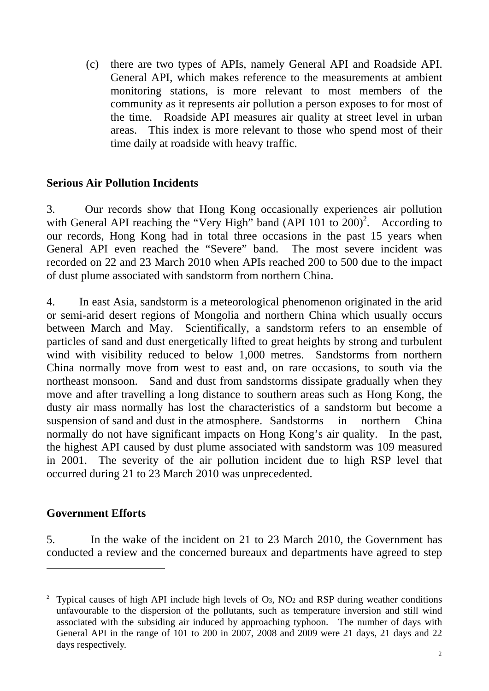(c) there are two types of APIs, namely General API and Roadside API. General API, which makes reference to the measurements at ambient monitoring stations, is more relevant to most members of the community as it represents air pollution a person exposes to for most of the time. Roadside API measures air quality at street level in urban areas. This index is more relevant to those who spend most of their time daily at roadside with heavy traffic.

### **Serious Air Pollution Incidents**

3. Our records show that Hong Kong occasionally experiences air pollution with General API reaching the "Very High" band (API  $101$  to  $200$ )<sup>2</sup>. According to our records, Hong Kong had in total three occasions in the past 15 years when General API even reached the "Severe" band. The most severe incident was recorded on 22 and 23 March 2010 when APIs reached 200 to 500 due to the impact of dust plume associated with sandstorm from northern China.

4. In east Asia, sandstorm is a meteorological phenomenon originated in the arid or semi-arid desert regions of Mongolia and northern China which usually occurs between March and May. Scientifically, a sandstorm refers to an ensemble of particles of sand and dust energetically lifted to great heights by strong and turbulent wind with visibility reduced to below 1,000 metres. Sandstorms from northern China normally move from west to east and, on rare occasions, to south via the northeast monsoon. Sand and dust from sandstorms dissipate gradually when they move and after travelling a long distance to southern areas such as Hong Kong, the dusty air mass normally has lost the characteristics of a sandstorm but become a suspension of sand and dust in the atmosphere. Sandstorms in northern China normally do not have significant impacts on Hong Kong's air quality. In the past, the highest API caused by dust plume associated with sandstorm was 109 measured in 2001. The severity of the air pollution incident due to high RSP level that occurred during 21 to 23 March 2010 was unprecedented.

## **Government Efforts**

 $\overline{a}$ 

5. In the wake of the incident on 21 to 23 March 2010, the Government has conducted a review and the concerned bureaux and departments have agreed to step

<sup>2</sup> Typical causes of high API include high levels of O3, NO2 and RSP during weather conditions unfavourable to the dispersion of the pollutants, such as temperature inversion and still wind associated with the subsiding air induced by approaching typhoon. The number of days with General API in the range of 101 to 200 in 2007, 2008 and 2009 were 21 days, 21 days and 22 days respectively.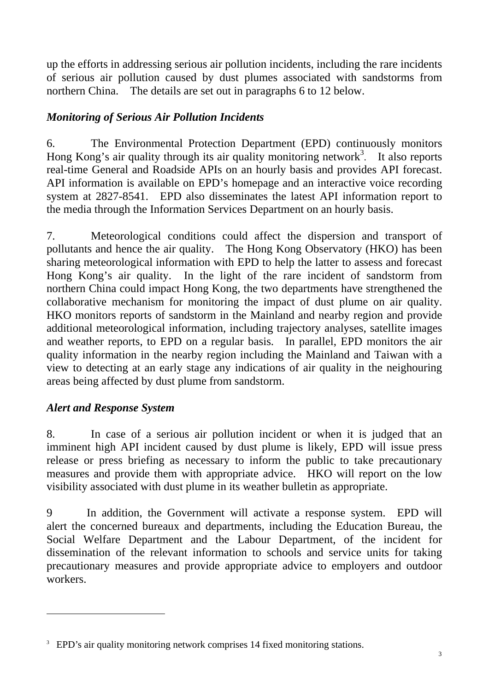up the efforts in addressing serious air pollution incidents, including the rare incidents of serious air pollution caused by dust plumes associated with sandstorms from northern China. The details are set out in paragraphs 6 to 12 below.

# *Monitoring of Serious Air Pollution Incidents*

6. The Environmental Protection Department (EPD) continuously monitors Hong Kong's air quality through its air quality monitoring network<sup>3</sup>. It also reports real-time General and Roadside APIs on an hourly basis and provides API forecast. API information is available on EPD's homepage and an interactive voice recording system at 2827-8541. EPD also disseminates the latest API information report to the media through the Information Services Department on an hourly basis.

7. Meteorological conditions could affect the dispersion and transport of pollutants and hence the air quality. The Hong Kong Observatory (HKO) has been sharing meteorological information with EPD to help the latter to assess and forecast Hong Kong's air quality. In the light of the rare incident of sandstorm from northern China could impact Hong Kong, the two departments have strengthened the collaborative mechanism for monitoring the impact of dust plume on air quality. HKO monitors reports of sandstorm in the Mainland and nearby region and provide additional meteorological information, including trajectory analyses, satellite images and weather reports, to EPD on a regular basis. In parallel, EPD monitors the air quality information in the nearby region including the Mainland and Taiwan with a view to detecting at an early stage any indications of air quality in the neighouring areas being affected by dust plume from sandstorm.

# *Alert and Response System*

 $\overline{a}$ 

8. In case of a serious air pollution incident or when it is judged that an imminent high API incident caused by dust plume is likely, EPD will issue press release or press briefing as necessary to inform the public to take precautionary measures and provide them with appropriate advice. HKO will report on the low visibility associated with dust plume in its weather bulletin as appropriate.

9 In addition, the Government will activate a response system. EPD will alert the concerned bureaux and departments, including the Education Bureau, the Social Welfare Department and the Labour Department, of the incident for dissemination of the relevant information to schools and service units for taking precautionary measures and provide appropriate advice to employers and outdoor workers.

<sup>&</sup>lt;sup>3</sup> EPD's air quality monitoring network comprises 14 fixed monitoring stations.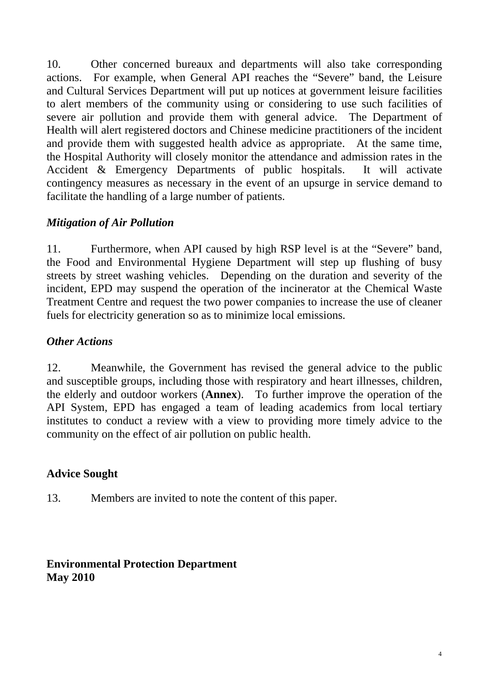10. Other concerned bureaux and departments will also take corresponding actions. For example, when General API reaches the "Severe" band, the Leisure and Cultural Services Department will put up notices at government leisure facilities to alert members of the community using or considering to use such facilities of severe air pollution and provide them with general advice. The Department of Health will alert registered doctors and Chinese medicine practitioners of the incident and provide them with suggested health advice as appropriate. At the same time, the Hospital Authority will closely monitor the attendance and admission rates in the Accident & Emergency Departments of public hospitals. It will activate contingency measures as necessary in the event of an upsurge in service demand to facilitate the handling of a large number of patients.

# *Mitigation of Air Pollution*

11. Furthermore, when API caused by high RSP level is at the "Severe" band, the Food and Environmental Hygiene Department will step up flushing of busy streets by street washing vehicles. Depending on the duration and severity of the incident, EPD may suspend the operation of the incinerator at the Chemical Waste Treatment Centre and request the two power companies to increase the use of cleaner fuels for electricity generation so as to minimize local emissions.

# *Other Actions*

12. Meanwhile, the Government has revised the general advice to the public and susceptible groups, including those with respiratory and heart illnesses, children, the elderly and outdoor workers (**Annex**). To further improve the operation of the API System, EPD has engaged a team of leading academics from local tertiary institutes to conduct a review with a view to providing more timely advice to the community on the effect of air pollution on public health.

## **Advice Sought**

13. Members are invited to note the content of this paper.

# **Environmental Protection Department May 2010**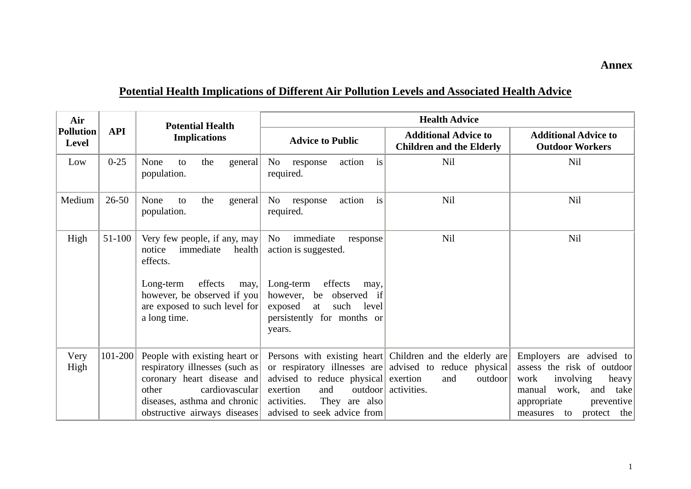### **Annex**

# **Potential Health Implications of Different Air Pollution Levels and Associated Health Advice**

| Air<br>Pollution<br><b>Level</b> | <b>API</b>  | <b>Potential Health</b><br><b>Implications</b>                                                                                                                                                     | <b>Health Advice</b>                                                                                                                                                                           |                                                                                                                                                              |                                                                                                                                                                                   |
|----------------------------------|-------------|----------------------------------------------------------------------------------------------------------------------------------------------------------------------------------------------------|------------------------------------------------------------------------------------------------------------------------------------------------------------------------------------------------|--------------------------------------------------------------------------------------------------------------------------------------------------------------|-----------------------------------------------------------------------------------------------------------------------------------------------------------------------------------|
|                                  |             |                                                                                                                                                                                                    | <b>Advice to Public</b>                                                                                                                                                                        | <b>Additional Advice to</b><br><b>Children and the Elderly</b>                                                                                               | <b>Additional Advice to</b><br><b>Outdoor Workers</b>                                                                                                                             |
| Low                              | $0 - 25$    | None<br>the<br>general<br>to<br>population.                                                                                                                                                        | No<br>action<br>response<br>is<br>required.                                                                                                                                                    | Nil                                                                                                                                                          | Nil                                                                                                                                                                               |
| Medium                           | $26 - 50$   | None<br>the<br>general<br>to<br>population.                                                                                                                                                        | is<br>action<br>No response<br>required.                                                                                                                                                       | Nil                                                                                                                                                          | <b>Nil</b>                                                                                                                                                                        |
| High                             | 51-100      | Very few people, if any, may<br>immediate<br>$\text{health}$<br>notice<br>effects.<br>effects<br>Long-term<br>may,<br>however, be observed if you<br>are exposed to such level for<br>a long time. | immediate<br>No<br>response<br>action is suggested.<br>Long-term<br>effects<br>may,<br>however,<br>be<br>observed if<br>such<br>exposed<br>level<br>at<br>persistently for months or<br>years. | Nil                                                                                                                                                          | <b>Nil</b>                                                                                                                                                                        |
| Very<br>High                     | $101 - 200$ | People with existing heart or<br>respiratory illnesses (such as<br>coronary heart disease and<br>other<br>cardiovascular<br>diseases, asthma and chronic<br>obstructive airways diseases           | advised to reduce physical exertion<br>and<br>exertion<br>They are also<br>activities.<br>advised to seek advice from                                                                          | Persons with existing heart Children and the elderly are<br>or respiratory illnesses are advised to reduce physical<br>outdoor<br>and<br>outdoor activities. | Employers are advised to<br>assess the risk of outdoor<br>work<br>involving<br>heavy<br>work,<br>and<br>manual<br>take<br>preventive<br>appropriate<br>protect the<br>measures to |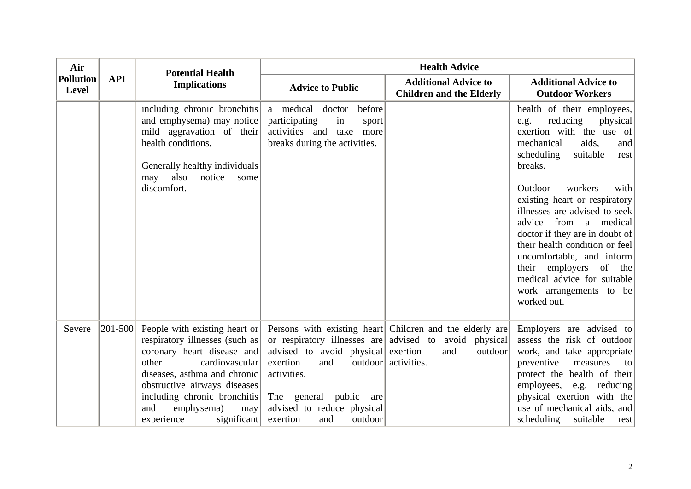| Air<br><b>Pollution</b><br><b>Level</b> | <b>API</b>    | <b>Potential Health</b><br><b>Implications</b>                                                                                                                                                                                                                                                            | <b>Health Advice</b>                                                                                                                                          |                                                                                                                                                             |                                                                                                                                                                                                                                                                                             |
|-----------------------------------------|---------------|-----------------------------------------------------------------------------------------------------------------------------------------------------------------------------------------------------------------------------------------------------------------------------------------------------------|---------------------------------------------------------------------------------------------------------------------------------------------------------------|-------------------------------------------------------------------------------------------------------------------------------------------------------------|---------------------------------------------------------------------------------------------------------------------------------------------------------------------------------------------------------------------------------------------------------------------------------------------|
|                                         |               |                                                                                                                                                                                                                                                                                                           | <b>Advice to Public</b>                                                                                                                                       | <b>Additional Advice to</b><br><b>Children and the Elderly</b>                                                                                              | <b>Additional Advice to</b><br><b>Outdoor Workers</b>                                                                                                                                                                                                                                       |
|                                         |               | including chronic bronchitis<br>and emphysema) may notice<br>mild aggravation of their<br>health conditions.<br>Generally healthy individuals<br>also<br>notice<br>may<br>some<br>discomfort.                                                                                                             | a medical doctor<br>before<br>participating<br>in<br>sport<br>activities and take<br>more<br>breaks during the activities.                                    |                                                                                                                                                             | health of their employees,<br>reducing<br>physical<br>e.g.<br>exertion with the use of<br>mechanical<br>aids,<br>and<br>scheduling<br>suitable<br>rest<br>breaks.<br>Outdoor<br>workers<br>with                                                                                             |
|                                         |               |                                                                                                                                                                                                                                                                                                           |                                                                                                                                                               |                                                                                                                                                             | existing heart or respiratory<br>illnesses are advised to seek<br>advice from a medical<br>doctor if they are in doubt of<br>their health condition or feel<br>uncomfortable, and inform<br>their employers of the<br>medical advice for suitable<br>work arrangements to be<br>worked out. |
| Severe                                  | $ 201 - 500 $ | People with existing heart or<br>respiratory illnesses (such as<br>coronary heart disease and<br>other<br>cardiovascular<br>diseases, asthma and chronic<br>obstructive airways diseases<br>including chronic bronchitis<br>and<br>emphysema)<br>$\left  \text{may} \right $<br>experience<br>significant | advised to avoid physical exertion<br>exertion<br>and<br>activities.<br>The general public<br>are<br>advised to reduce physical<br>exertion<br>outdoor<br>and | Persons with existing heart Children and the elderly are<br>or respiratory illnesses are advised to avoid physical<br>and<br>outdoor<br>outdoor activities. | Employers are advised to<br>assess the risk of outdoor<br>work, and take appropriate<br>preventive<br>measures<br>to<br>protect the health of their<br>employees, e.g. reducing<br>physical exertion with the<br>use of mechanical aids, and<br>scheduling<br>suitable<br>rest              |